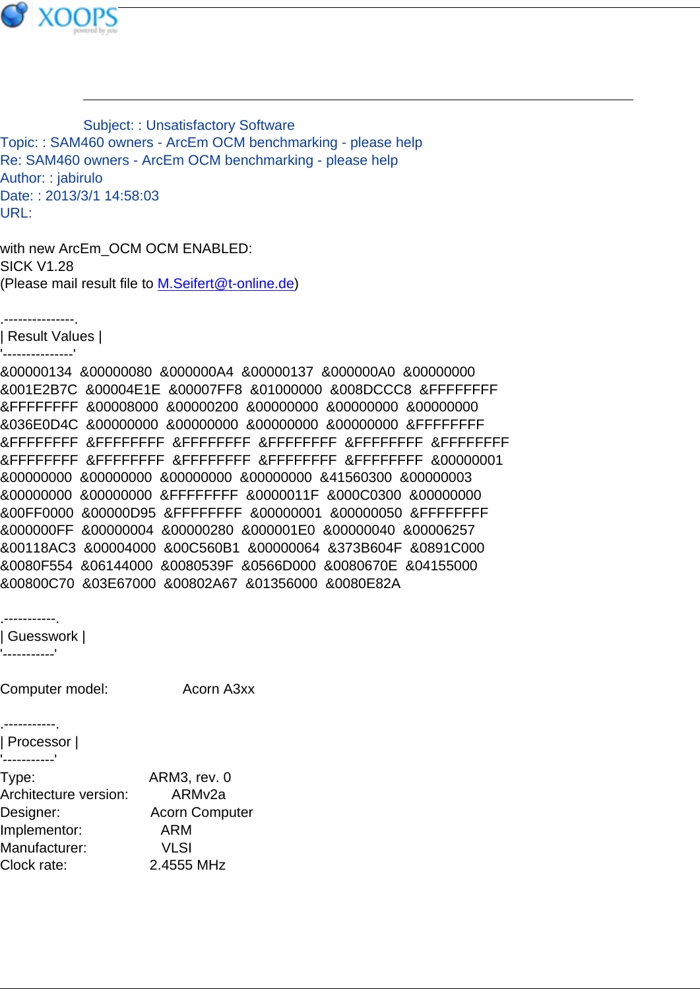

Subject: : Unsatisfactory Software Topic: : SAM460 owners - ArcEm OCM benchmarking - please help Re: SAM460 owners - ArcEm OCM benchmarking - please help Author: : jabirulo Date: : 2013/3/1 14:58:03 URL:

with new ArcEm\_OCM OCM ENABLED: SICK V1.28 (Please mail result file to [M.Seifert@t-online.de](mailto:M.Seifert@t-online.de))

.---------------. | Result Values |

'---------------'

&00000134 &00000080 &000000A4 &00000137 &000000A0 &00000000 &001E2B7C &00004E1E &00007FF8 &01000000 &008DCCC8 &FFFFFFFF &FFFFFFFF &00008000 &00000200 &00000000 &00000000 &00000000 &036E0D4C &00000000 &00000000 &00000000 &00000000 &FFFFFFFF &FFFFFFFF &FFFFFFFF &FFFFFFFF &FFFFFFFF &FFFFFFFF &FFFFFFFF &FFFFFFFF &FFFFFFFF &FFFFFFFF &FFFFFFFF &FFFFFFFF &00000001 &00000000 &00000000 &00000000 &00000000 &41560300 &00000003 &00000000 &00000000 &FFFFFFFF &0000011F &000C0300 &00000000 &00FF0000 &00000D95 &FFFFFFFF &00000001 &00000050 &FFFFFFFF &000000FF &00000004 &00000280 &000001E0 &00000040 &00006257 &00118AC3 &00004000 &00C560B1 &00000064 &373B604F &0891C000 &0080F554 &06144000 &0080539F &0566D000 &0080670E &04155000 &00800C70 &03E67000 &00802A67 &01356000 &0080E82A

.-----------. | Guesswork | '-----------'

Computer model: Acorn A3xx

.-----------. | Processor | '-----------' Type: ARM3, rev. 0 Architecture version: ARMv2a Designer: Acorn Computer Implementor: ARM Manufacturer: VLSI Clock rate: 2.4555 MHz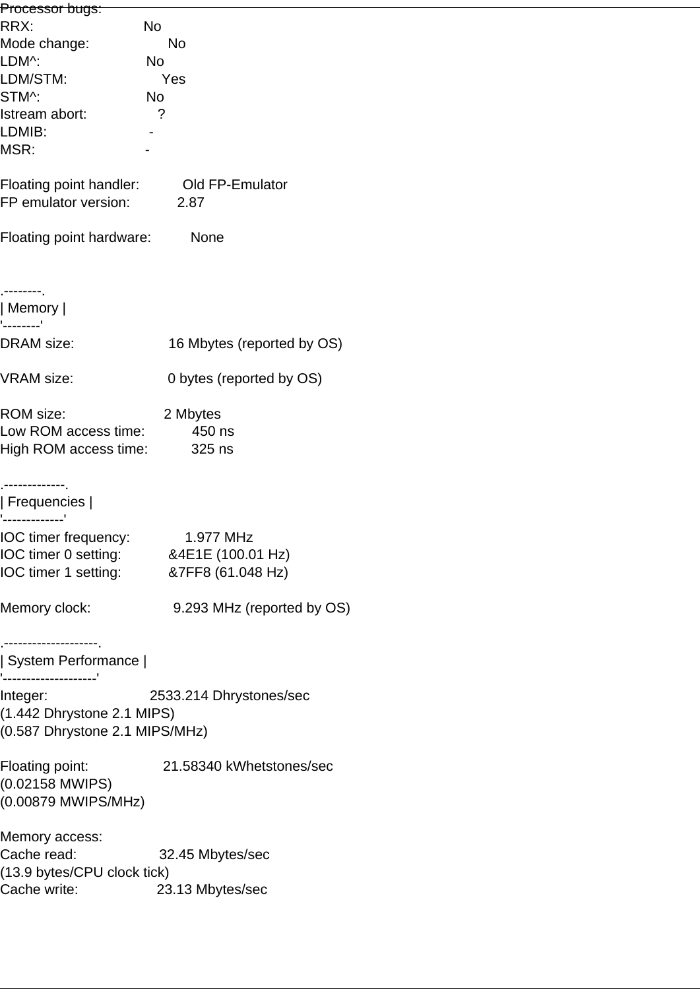| Processor bugs:                                |                                        |
|------------------------------------------------|----------------------------------------|
| RRX:                                           | No                                     |
| Mode change:                                   | <b>No</b>                              |
| LDM^:                                          | No                                     |
| LDM/STM:                                       | Yes                                    |
| STM^:                                          | No                                     |
| Istream abort:                                 | ?                                      |
| LDMIB:                                         |                                        |
| MSR:                                           |                                        |
| Floating point handler:                        | Old FP-Emulator                        |
| FP emulator version:                           | 2.87                                   |
| Floating point hardware:                       | None                                   |
| Memory                                         |                                        |
| '--------'<br><b>DRAM</b> size:                | 16 Mbytes (reported by OS)             |
| <b>VRAM</b> size:                              | 0 bytes (reported by OS)               |
| <b>ROM</b> size:                               | 2 Mbytes                               |
| Low ROM access time:                           | 450 ns                                 |
| High ROM access time:                          | 325 ns                                 |
|                                                |                                        |
| Frequencies                                    |                                        |
|                                                |                                        |
| IOC timer frequency:                           | 1.977 MHz                              |
|                                                | IOC timer 0 setting: 84E1E (100.01 Hz) |
|                                                | IOC timer 1 setting: 87FF8 (61.048 Hz) |
| Memory clock:                                  | 9.293 MHz (reported by OS)             |
| ----------------                               |                                        |
| System Performance  <br>'--------------------' |                                        |
| Integer:                                       | 2533.214 Dhrystones/sec                |
| (1.442 Dhrystone 2.1 MIPS)                     |                                        |
| (0.587 Dhrystone 2.1 MIPS/MHz)                 |                                        |
| Floating point:                                | 21.58340 kWhetstones/sec               |
| (0.02158 MWIPS)                                |                                        |
| (0.00879 MWIPS/MHz)                            |                                        |
| Memory access:                                 |                                        |
| Cache read: Cache read:                        | 32.45 Mbytes/sec                       |
| (13.9 bytes/CPU clock tick)                    |                                        |
| Cache write:                                   | 23.13 Mbytes/sec                       |
|                                                |                                        |
|                                                |                                        |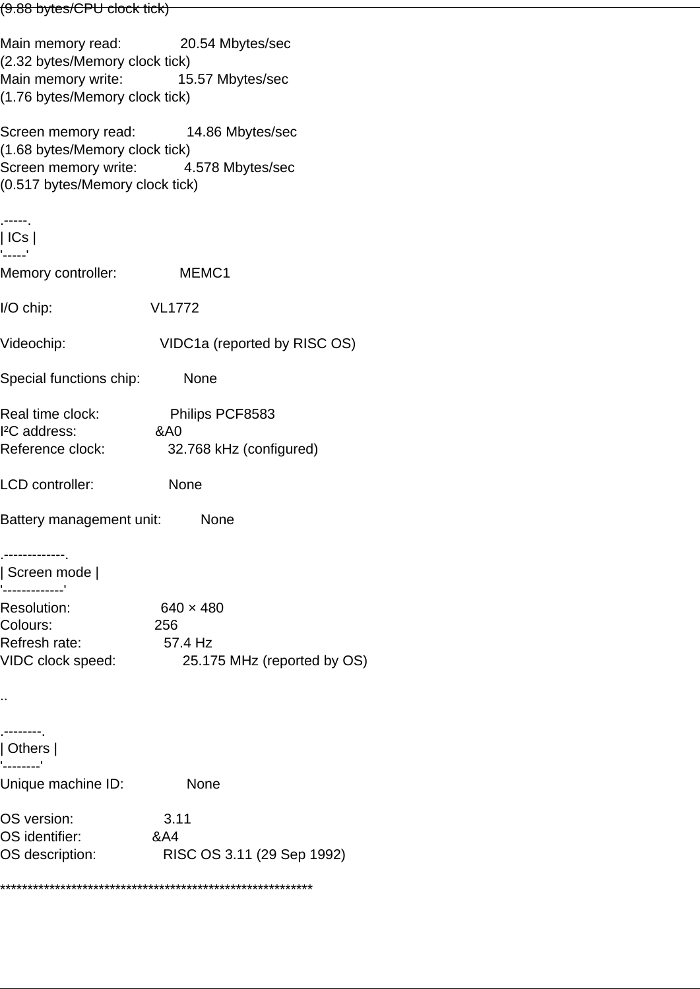## (9.88 bytes/CPU clock tick)

Main memory read: 20.54 Mbytes/sec (2.32 bytes/Memory clock tick) Main memory write: 15.57 Mbytes/sec (1.76 bytes/Memory clock tick) Screen memory read: 14.86 Mbytes/sec (1.68 bytes/Memory clock tick) Screen memory write: 4.578 Mbytes/sec (0.517 bytes/Memory clock tick) .-----. | ICs | '-----' Memory controller: MEMC1 I/O chip: VL1772 Videochip: VIDC1a (reported by RISC OS) Special functions chip: None Real time clock: Philips PCF8583 I²C address: &A0 Reference clock: 32.768 kHz (configured) LCD controller: None Battery management unit: None .-------------. | Screen mode | '-------------' Resolution: 640 x 480 Colours: 256 Refresh rate: 57.4 Hz VIDC clock speed: 25.175 MHz (reported by OS) .. .--------. | Others | '--------' Unique machine ID: None

OS version: 3.11 OS identifier: &A4 OS description: RISC OS 3.11 (29 Sep 1992)

\*\*\*\*\*\*\*\*\*\*\*\*\*\*\*\*\*\*\*\*\*\*\*\*\*\*\*\*\*\*\*\*\*\*\*\*\*\*\*\*\*\*\*\*\*\*\*\*\*\*\*\*\*\*\*\*\*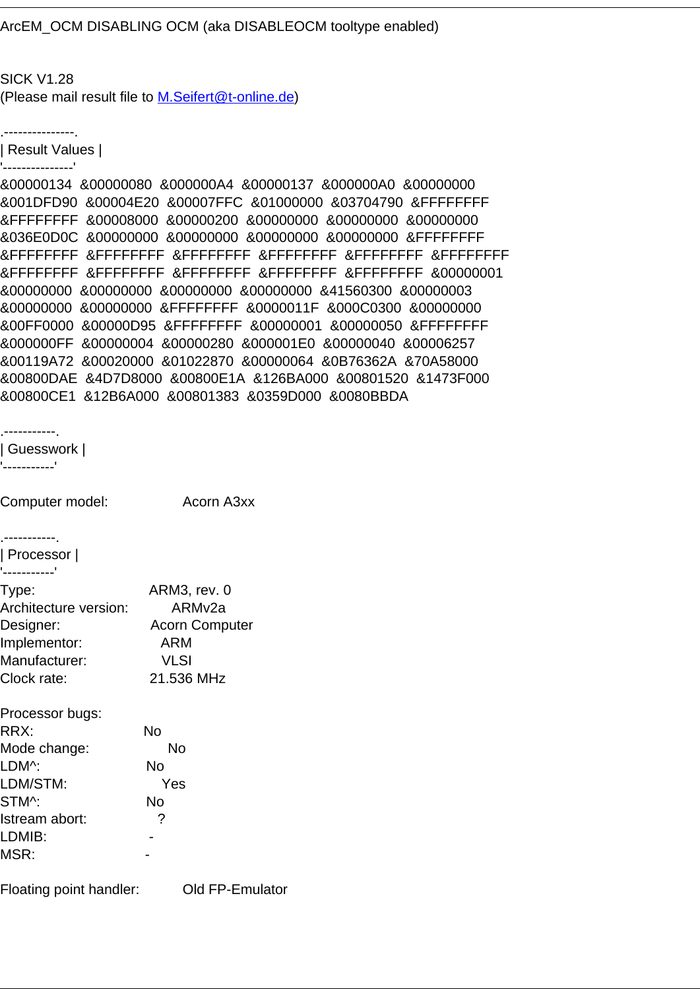ArcEM\_OCM DISABLING OCM (aka DISABLEOCM tooltype enabled)

SICK V1.28 (Please mail result file to [M.Seifert@t-online.de](mailto:M.Seifert@t-online.de))

.---------------.

| Result Values | '---------------'

&00000134 &00000080 &000000A4 &00000137 &000000A0 &00000000 &001DFD90 &00004E20 &00007FFC &01000000 &03704790 &FFFFFFFF &FFFFFFFF &00008000 &00000200 &00000000 &00000000 &00000000 &036E0D0C &00000000 &00000000 &00000000 &00000000 &FFFFFFFF &FFFFFFFF &FFFFFFFF &FFFFFFFF &FFFFFFFF &FFFFFFFF &FFFFFFFF &FFFFFFFF &FFFFFFFF &FFFFFFFF &FFFFFFFF &FFFFFFFF &00000001 &00000000 &00000000 &00000000 &00000000 &41560300 &00000003 &00000000 &00000000 &FFFFFFFF &0000011F &000C0300 &00000000 &00FF0000 &00000D95 &FFFFFFFF &00000001 &00000050 &FFFFFFFF &000000FF &00000004 &00000280 &000001E0 &00000040 &00006257 &00119A72 &00020000 &01022870 &00000064 &0B76362A &70A58000 &00800DAE &4D7D8000 &00800E1A &126BA000 &00801520 &1473F000 &00800CE1 &12B6A000 &00801383 &0359D000 &0080BBDA

.-----------. | Guesswork |

'-----------'

MSR:

Computer model: Acorn A3xx .-----------. | Processor | '-----------' Type: ARM3, rev. 0 Architecture version: ARMv2a Designer: Acorn Computer Implementor: ARM Manufacturer: VLSI Clock rate: 21.536 MHz Processor bugs: RRX: No Mode change: No LDM^: No LDM/STM: Yes STM^: No Istream abort: ? LDMIB: -

Floating point handler: Old FP-Emulator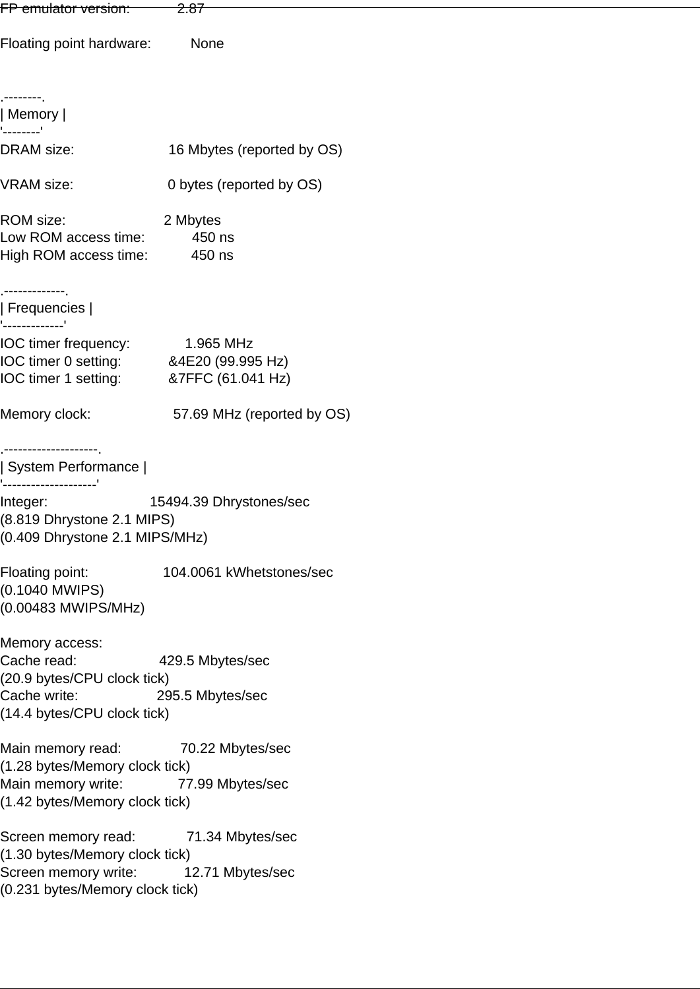| FP emulator version:                                                                                                                  | <del>2.87</del>                      |  |
|---------------------------------------------------------------------------------------------------------------------------------------|--------------------------------------|--|
| Floating point hardware:                                                                                                              | None                                 |  |
|                                                                                                                                       |                                      |  |
| .--------.<br>  Memory                                                                                                                |                                      |  |
| --------'<br><b>DRAM</b> size:                                                                                                        | 16 Mbytes (reported by OS)           |  |
| <b>VRAM</b> size:                                                                                                                     | 0 bytes (reported by OS)             |  |
| <b>ROM</b> size:<br>Low ROM access time: 450 ns<br>High ROM access time: 450 ns                                                       | 2 Mbytes                             |  |
| .-------------.<br>$\parallel$ Frequencies $\parallel$                                                                                |                                      |  |
| '-------------'<br>IOC timer frequency: 1.965 MHz<br>IOC timer 0 setting: 84E20 (99.995 Hz)<br>IOC timer 1 setting: 87FFC (61.041 Hz) |                                      |  |
| Memory clock:                                                                                                                         | 57.69 MHz (reported by OS)           |  |
| .--------------------<br>  System Performance                                                                                         |                                      |  |
| -------------------'<br>Integer:<br>(8.819 Dhrystone 2.1 MIPS)<br>(0.409 Dhrystone 2.1 MIPS/MHz)                                      | 15494.39 Dhrystones/sec              |  |
| Floating point:<br>(0.1040 MWIPS)<br>(0.00483 MWIPS/MHz)                                                                              | 104.0061 kWhetstones/sec             |  |
| Memory access:<br>Cache read:<br>(20.9 bytes/CPU clock tick)<br>Cache write:<br>(14.4 bytes/CPU clock tick)                           | 429.5 Mbytes/sec<br>295.5 Mbytes/sec |  |
| Main memory read:<br>(1.28 bytes/Memory clock tick)<br>Main memory write: 77.99 Mbytes/sec<br>(1.42 bytes/Memory clock tick)          | 70.22 Mbytes/sec                     |  |
| Screen memory read:<br>(1.30 bytes/Memory clock tick)<br>Screen memory write: 12.71 Mbytes/sec<br>(0.231 bytes/Memory clock tick)     | 71.34 Mbytes/sec                     |  |
|                                                                                                                                       |                                      |  |